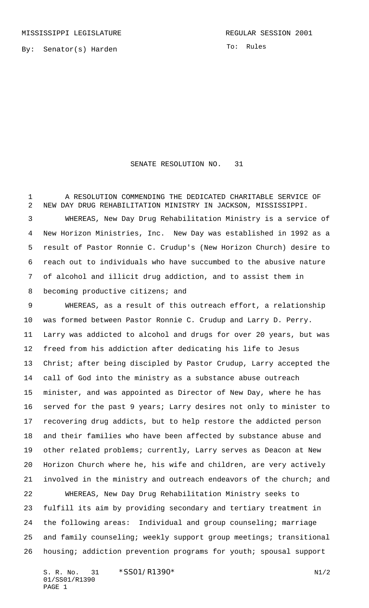By: Senator(s) Harden

SENATE RESOLUTION NO. 31

 A RESOLUTION COMMENDING THE DEDICATED CHARITABLE SERVICE OF NEW DAY DRUG REHABILITATION MINISTRY IN JACKSON, MISSISSIPPI. WHEREAS, New Day Drug Rehabilitation Ministry is a service of New Horizon Ministries, Inc. New Day was established in 1992 as a result of Pastor Ronnie C. Crudup's (New Horizon Church) desire to reach out to individuals who have succumbed to the abusive nature of alcohol and illicit drug addiction, and to assist them in 8 becoming productive citizens; and

 WHEREAS, as a result of this outreach effort, a relationship was formed between Pastor Ronnie C. Crudup and Larry D. Perry. Larry was addicted to alcohol and drugs for over 20 years, but was freed from his addiction after dedicating his life to Jesus Christ; after being discipled by Pastor Crudup, Larry accepted the call of God into the ministry as a substance abuse outreach minister, and was appointed as Director of New Day, where he has served for the past 9 years; Larry desires not only to minister to recovering drug addicts, but to help restore the addicted person and their families who have been affected by substance abuse and other related problems; currently, Larry serves as Deacon at New Horizon Church where he, his wife and children, are very actively involved in the ministry and outreach endeavors of the church; and WHEREAS, New Day Drug Rehabilitation Ministry seeks to

 fulfill its aim by providing secondary and tertiary treatment in the following areas: Individual and group counseling; marriage and family counseling; weekly support group meetings; transitional housing; addiction prevention programs for youth; spousal support

S. R. No. 31 \* SS01/R1390\* N1/2 01/SS01/R1390 PAGE 1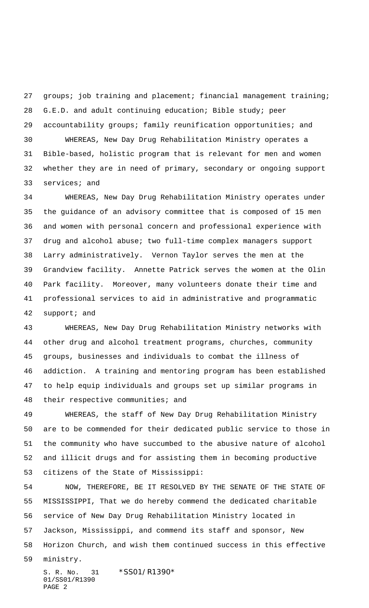27 groups; job training and placement; financial management training; G.E.D. and adult continuing education; Bible study; peer accountability groups; family reunification opportunities; and WHEREAS, New Day Drug Rehabilitation Ministry operates a

 Bible-based, holistic program that is relevant for men and women whether they are in need of primary, secondary or ongoing support services; and

 WHEREAS, New Day Drug Rehabilitation Ministry operates under the guidance of an advisory committee that is composed of 15 men and women with personal concern and professional experience with drug and alcohol abuse; two full-time complex managers support Larry administratively. Vernon Taylor serves the men at the Grandview facility. Annette Patrick serves the women at the Olin Park facility. Moreover, many volunteers donate their time and professional services to aid in administrative and programmatic support; and

 WHEREAS, New Day Drug Rehabilitation Ministry networks with other drug and alcohol treatment programs, churches, community groups, businesses and individuals to combat the illness of addiction. A training and mentoring program has been established to help equip individuals and groups set up similar programs in their respective communities; and

 WHEREAS, the staff of New Day Drug Rehabilitation Ministry are to be commended for their dedicated public service to those in the community who have succumbed to the abusive nature of alcohol and illicit drugs and for assisting them in becoming productive citizens of the State of Mississippi:

 NOW, THEREFORE, BE IT RESOLVED BY THE SENATE OF THE STATE OF MISSISSIPPI, That we do hereby commend the dedicated charitable service of New Day Drug Rehabilitation Ministry located in Jackson, Mississippi, and commend its staff and sponsor, New Horizon Church, and wish them continued success in this effective ministry.

S. R. No. 31 \* SS01/R1390\* 01/SS01/R1390 PAGE 2